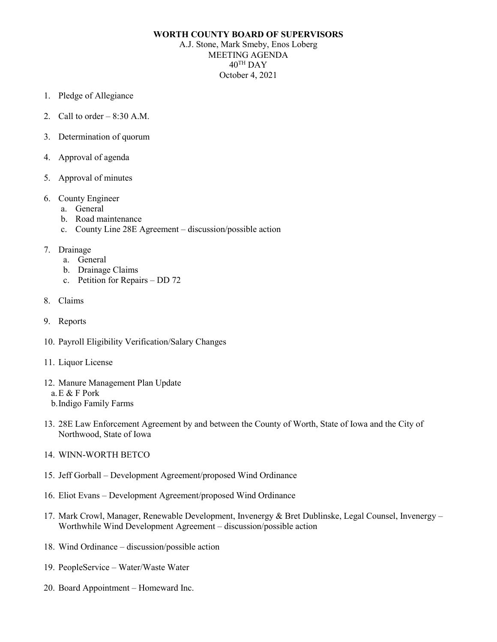## **WORTH COUNTY BOARD OF SUPERVISORS**

A.J. Stone, Mark Smeby, Enos Loberg MEETING AGENDA  $40^{\text{TH}}$  DAY October 4, 2021

- 1. Pledge of Allegiance
- 2. Call to order  $-8:30$  A.M.
- 3. Determination of quorum
- 4. Approval of agenda
- 5. Approval of minutes
- 6. County Engineer
	- a. General
	- b. Road maintenance
	- c. County Line 28E Agreement discussion/possible action
- 7. Drainage
	- a. General
	- b. Drainage Claims
	- c. Petition for Repairs DD 72
- 8. Claims
- 9. Reports
- 10. Payroll Eligibility Verification/Salary Changes
- 11. Liquor License
- 12. Manure Management Plan Update
	- a.E & F Pork
	- b.Indigo Family Farms
- 13. 28E Law Enforcement Agreement by and between the County of Worth, State of Iowa and the City of Northwood, State of Iowa
- 14. WINN-WORTH BETCO
- 15. Jeff Gorball Development Agreement/proposed Wind Ordinance
- 16. Eliot Evans Development Agreement/proposed Wind Ordinance
- 17. Mark Crowl, Manager, Renewable Development, Invenergy & Bret Dublinske, Legal Counsel, Invenergy Worthwhile Wind Development Agreement – discussion/possible action
- 18. Wind Ordinance discussion/possible action
- 19. PeopleService Water/Waste Water
- 20. Board Appointment Homeward Inc.